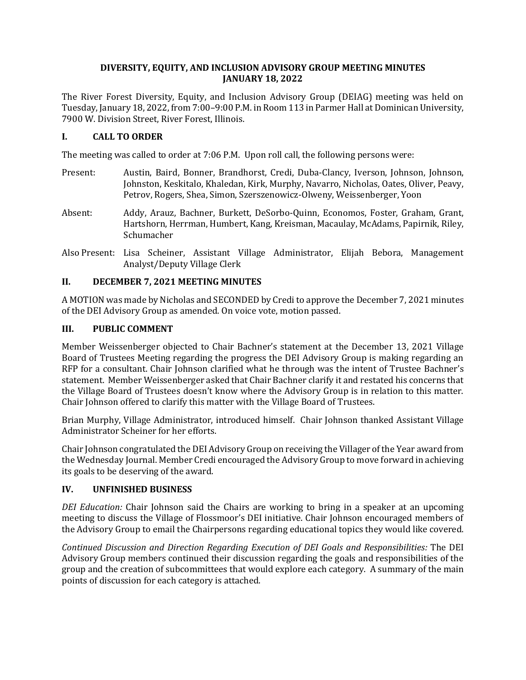## **DIVERSITY, EQUITY, AND INCLUSION ADVISORY GROUP MEETING MINUTES JANUARY 18, 2022**

The River Forest Diversity, Equity, and Inclusion Advisory Group (DEIAG) meeting was held on Tuesday, January 18, 2022, from 7:00–9:00 P.M. in Room 113 in Parmer Hall at Dominican University, 7900 W. Division Street, River Forest, Illinois.

# **I. CALL TO ORDER**

The meeting was called to order at 7:06 P.M. Upon roll call, the following persons were:

- Present: Austin, Baird, Bonner, Brandhorst, Credi, Duba-Clancy, Iverson, Johnson, Johnson, Johnston, Keskitalo, Khaledan, Kirk, Murphy, Navarro, Nicholas, Oates, Oliver, Peavy, Petrov, Rogers, Shea, Simon, Szerszenowicz-Olweny, Weissenberger, Yoon
- Absent: Addy, Arauz, Bachner, Burkett, DeSorbo-Quinn, Economos, Foster, Graham, Grant, Hartshorn, Herrman, Humbert, Kang, Kreisman, Macaulay, McAdams, Papirnik, Riley, Schumacher
- Also Present: Lisa Scheiner, Assistant Village Administrator, Elijah Bebora, Management Analyst/Deputy Village Clerk

## **II. DECEMBER 7, 2021 MEETING MINUTES**

A MOTION was made by Nicholas and SECONDED by Credi to approve the December 7, 2021 minutes of the DEI Advisory Group as amended. On voice vote, motion passed.

## **III. PUBLIC COMMENT**

Member Weissenberger objected to Chair Bachner's statement at the December 13, 2021 Village Board of Trustees Meeting regarding the progress the DEI Advisory Group is making regarding an RFP for a consultant. Chair Johnson clarified what he through was the intent of Trustee Bachner's statement. Member Weissenberger asked that Chair Bachner clarify it and restated his concerns that the Village Board of Trustees doesn't know where the Advisory Group is in relation to this matter. Chair Johnson offered to clarify this matter with the Village Board of Trustees.

Brian Murphy, Village Administrator, introduced himself. Chair Johnson thanked Assistant Village Administrator Scheiner for her efforts.

Chair Johnson congratulated the DEI Advisory Group on receiving the Villager of the Year award from the Wednesday Journal. Member Credi encouraged the Advisory Group to move forward in achieving its goals to be deserving of the award.

#### **IV. UNFINISHED BUSINESS**

*DEI Education:* Chair Johnson said the Chairs are working to bring in a speaker at an upcoming meeting to discuss the Village of Flossmoor's DEI initiative. Chair Johnson encouraged members of the Advisory Group to email the Chairpersons regarding educational topics they would like covered.

*Continued Discussion and Direction Regarding Execution of DEI Goals and Responsibilities:* The DEI Advisory Group members continued their discussion regarding the goals and responsibilities of the group and the creation of subcommittees that would explore each category. A summary of the main points of discussion for each category is attached.